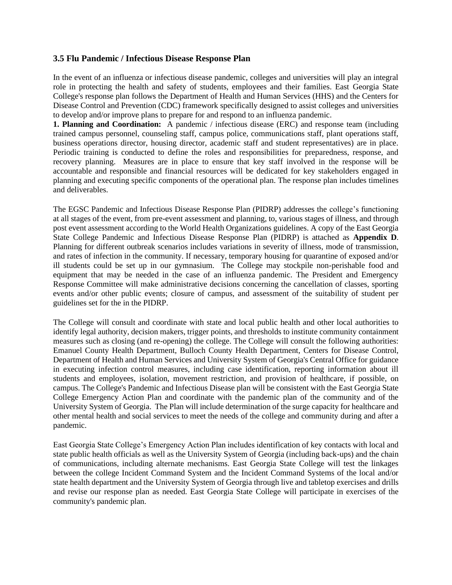### **3.5 Flu Pandemic / Infectious Disease Response Plan**

In the event of an influenza or infectious disease pandemic, colleges and universities will play an integral role in protecting the health and safety of students, employees and their families. East Georgia State College's response plan follows the Department of Health and Human Services (HHS) and the Centers for Disease Control and Prevention (CDC) framework specifically designed to assist colleges and universities to develop and/or improve plans to prepare for and respond to an influenza pandemic.

**1. Planning and Coordination:** A pandemic / infectious disease (ERC) and response team (including trained campus personnel, counseling staff, campus police, communications staff, plant operations staff, business operations director, housing director, academic staff and student representatives) are in place. Periodic training is conducted to define the roles and responsibilities for preparedness, response, and recovery planning. Measures are in place to ensure that key staff involved in the response will be accountable and responsible and financial resources will be dedicated for key stakeholders engaged in planning and executing specific components of the operational plan. The response plan includes timelines and deliverables.

The EGSC Pandemic and Infectious Disease Response Plan (PIDRP) addresses the college's functioning at all stages of the event, from pre-event assessment and planning, to, various stages of illness, and through post event assessment according to the World Health Organizations guidelines. A copy of the East Georgia State College Pandemic and Infectious Disease Response Plan (PIDRP) is attached as **Appendix D**. Planning for different outbreak scenarios includes variations in severity of illness, mode of transmission, and rates of infection in the community. If necessary, temporary housing for quarantine of exposed and/or ill students could be set up in our gymnasium. The College may stockpile non-perishable food and equipment that may be needed in the case of an influenza pandemic. The President and Emergency Response Committee will make administrative decisions concerning the cancellation of classes, sporting events and/or other public events; closure of campus, and assessment of the suitability of student per guidelines set for the in the PIDRP.

The College will consult and coordinate with state and local public health and other local authorities to identify legal authority, decision makers, trigger points, and thresholds to institute community containment measures such as closing (and re-opening) the college. The College will consult the following authorities: Emanuel County Health Department, Bulloch County Health Department, Centers for Disease Control, Department of Health and Human Services and University System of Georgia's Central Office for guidance in executing infection control measures, including case identification, reporting information about ill students and employees, isolation, movement restriction, and provision of healthcare, if possible, on campus. The College's Pandemic and Infectious Disease plan will be consistent with the East Georgia State College Emergency Action Plan and coordinate with the pandemic plan of the community and of the University System of Georgia. The Plan will include determination of the surge capacity for healthcare and other mental health and social services to meet the needs of the college and community during and after a pandemic.

East Georgia State College's Emergency Action Plan includes identification of key contacts with local and state public health officials as well as the University System of Georgia (including back-ups) and the chain of communications, including alternate mechanisms. East Georgia State College will test the linkages between the college Incident Command System and the Incident Command Systems of the local and/or state health department and the University System of Georgia through live and tabletop exercises and drills and revise our response plan as needed. East Georgia State College will participate in exercises of the community's pandemic plan.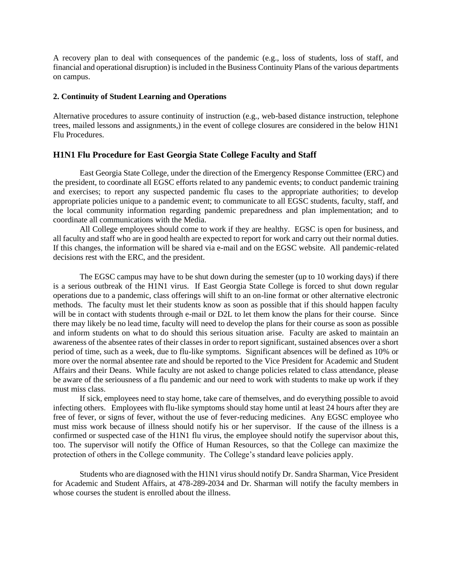A recovery plan to deal with consequences of the pandemic (e.g., loss of students, loss of staff, and financial and operational disruption) is included in the Business Continuity Plans of the various departments on campus.

#### **2. Continuity of Student Learning and Operations**

Alternative procedures to assure continuity of instruction (e.g., web-based distance instruction, telephone trees, mailed lessons and assignments,) in the event of college closures are considered in the below H1N1 Flu Procedures.

#### **H1N1 Flu Procedure for East Georgia State College Faculty and Staff**

East Georgia State College, under the direction of the Emergency Response Committee (ERC) and the president, to coordinate all EGSC efforts related to any pandemic events; to conduct pandemic training and exercises; to report any suspected pandemic flu cases to the appropriate authorities; to develop appropriate policies unique to a pandemic event; to communicate to all EGSC students, faculty, staff, and the local community information regarding pandemic preparedness and plan implementation; and to coordinate all communications with the Media.

All College employees should come to work if they are healthy. EGSC is open for business, and all faculty and staff who are in good health are expected to report for work and carry out their normal duties. If this changes, the information will be shared via e-mail and on the EGSC website. All pandemic-related decisions rest with the ERC, and the president.

The EGSC campus may have to be shut down during the semester (up to 10 working days) if there is a serious outbreak of the H1N1 virus. If East Georgia State College is forced to shut down regular operations due to a pandemic, class offerings will shift to an on-line format or other alternative electronic methods. The faculty must let their students know as soon as possible that if this should happen faculty will be in contact with students through e-mail or D2L to let them know the plans for their course. Since there may likely be no lead time, faculty will need to develop the plans for their course as soon as possible and inform students on what to do should this serious situation arise. Faculty are asked to maintain an awareness of the absentee rates of their classes in order to report significant, sustained absences over a short period of time, such as a week, due to flu-like symptoms. Significant absences will be defined as 10% or more over the normal absentee rate and should be reported to the Vice President for Academic and Student Affairs and their Deans. While faculty are not asked to change policies related to class attendance, please be aware of the seriousness of a flu pandemic and our need to work with students to make up work if they must miss class.

If sick, employees need to stay home, take care of themselves, and do everything possible to avoid infecting others. Employees with flu-like symptoms should stay home until at least 24 hours after they are free of fever, or signs of fever, without the use of fever-reducing medicines. Any EGSC employee who must miss work because of illness should notify his or her supervisor. If the cause of the illness is a confirmed or suspected case of the H1N1 flu virus, the employee should notify the supervisor about this, too. The supervisor will notify the Office of Human Resources, so that the College can maximize the protection of others in the College community. The College's standard leave policies apply.

Students who are diagnosed with the H1N1 virus should notify Dr. Sandra Sharman, Vice President for Academic and Student Affairs, at 478-289-2034 and Dr. Sharman will notify the faculty members in whose courses the student is enrolled about the illness.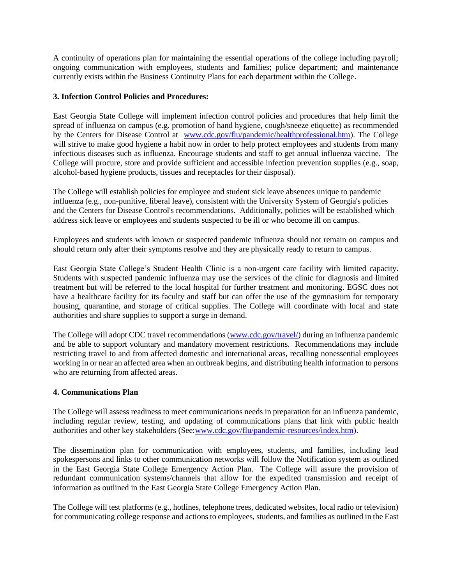A continuity of operations plan for maintaining the essential operations of the college including payroll; ongoing communication with employees, students and families; police department; and maintenance currently exists within the Business Continuity Plans for each department within the College.

### **3. Infection Control Policies and Procedures:**

East Georgia State College will implement infection control policies and procedures that help limit the spread of influenza on campus (e.g. promotion of hand hygiene, cough/sneeze etiquette) as recommended by the Centers for Disease Control at [www.cdc.gov/flu/pandemic/healthprofessional.htm\)](http://www.cdc.gov/flu/pandemic/healthprofessional.htm). The College will strive to make good hygiene a habit now in order to help protect employees and students from many infectious diseases such as influenza. Encourage students and staff to get annual influenza vaccine. The College will procure, store and provide sufficient and accessible infection prevention supplies (e.g., soap, alcohol-based hygiene products, tissues and receptacles for their disposal).

The College will establish policies for employee and student sick leave absences unique to pandemic influenza (e.g., non-punitive, liberal leave), consistent with the University System of Georgia's policies and the Centers for Disease Control's recommendations. Additionally, policies will be established which address sick leave or employees and students suspected to be ill or who become ill on campus.

Employees and students with known or suspected pandemic influenza should not remain on campus and should return only after their symptoms resolve and they are physically ready to return to campus.

East Georgia State College's Student Health Clinic is a non-urgent care facility with limited capacity. Students with suspected pandemic influenza may use the services of the clinic for diagnosis and limited treatment but will be referred to the local hospital for further treatment and monitoring. EGSC does not have a healthcare facility for its faculty and staff but can offer the use of the gymnasium for temporary housing, quarantine, and storage of critical supplies. The College will coordinate with local and state authorities and share supplies to support a surge in demand.

The College will adopt CDC travel recommendations [\(www.cdc.gov/travel/\)](http://www.cdc.gov/travel/) during an influenza pandemic and be able to support voluntary and mandatory movement restrictions. Recommendations may include restricting travel to and from affected domestic and international areas, recalling nonessential employees working in or near an affected area when an outbreak begins, and distributing health information to persons who are returning from affected areas.

#### **4. Communications Plan**

The College will assess readiness to meet communications needs in preparation for an influenza pandemic, including regular review, testing, and updating of communications plans that link with public health authorities and other key stakeholders (See[:www.cdc.gov/flu/pandemic-resources/index.htm\)](https://ega0-my.sharepoint.com/personal/aldouglas_ega_edu/Documents/www.cdc.gov/flu/pandemic-resources/index.htm).

The dissemination plan for communication with employees, students, and families, including lead spokespersons and links to other communication networks will follow the Notification system as outlined in the East Georgia State College Emergency Action Plan. The College will assure the provision of redundant communication systems/channels that allow for the expedited transmission and receipt of information as outlined in the East Georgia State College Emergency Action Plan.

The College will test platforms (e.g., hotlines, telephone trees, dedicated websites, local radio or television) for communicating college response and actions to employees, students, and families as outlined in the East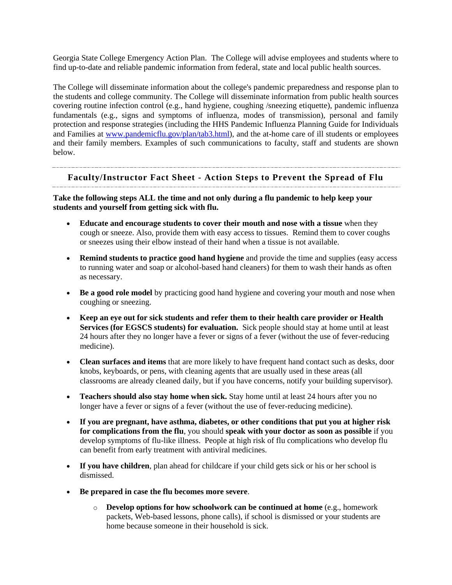Georgia State College Emergency Action Plan. The College will advise employees and students where to find up-to-date and reliable pandemic information from federal, state and local public health sources.

The College will disseminate information about the college's pandemic preparedness and response plan to the students and college community. The College will disseminate information from public health sources covering routine infection control (e.g., hand hygiene, coughing /sneezing etiquette), pandemic influenza fundamentals (e.g., signs and symptoms of influenza, modes of transmission), personal and family protection and response strategies (including the HHS Pandemic Influenza Planning Guide for Individuals and Families at [www.pandemicflu.gov/plan/tab3.html\)](http://www.pandemicflu.gov/plan/tab3.html), and the at-home care of ill students or employees and their family members. Examples of such communications to faculty, staff and students are shown below.

# **Faculty/Instructor Fact Sheet - Action Steps to Prevent the Spread of Flu**

**Take the following steps ALL the time and not only during a flu pandemic to help keep your students and yourself from getting sick with flu.**

- **Educate and encourage students to cover their mouth and nose with a tissue** when they cough or sneeze. Also, provide them with easy access to tissues. Remind them to cover coughs or sneezes using their elbow instead of their hand when a tissue is not available.
- **Remind students to practice good hand hygiene** and provide the time and supplies (easy access to running water and soap or alcohol-based hand cleaners) for them to wash their hands as often as necessary.
- **Be a good role model** by practicing good hand hygiene and covering your mouth and nose when coughing or sneezing.
- **Keep an eye out for sick students and refer them to their health care provider or Health Services (for EGSCS students) for evaluation.** Sick people should stay at home until at least 24 hours after they no longer have a fever or signs of a fever (without the use of fever-reducing medicine).
- **Clean surfaces and items** that are more likely to have frequent hand contact such as desks, door knobs, keyboards, or pens, with cleaning agents that are usually used in these areas (all classrooms are already cleaned daily, but if you have concerns, notify your building supervisor).
- **Teachers should also stay home when sick.** Stay home until at least 24 hours after you no longer have a fever or signs of a fever (without the use of fever-reducing medicine).
- **If you are pregnant, have asthma, diabetes, or other conditions that put you at higher risk for complications from the flu**, you should **speak with your doctor as soon as possible** if you develop symptoms of flu-like illness. People at high risk of flu complications who develop flu can benefit from early treatment with antiviral medicines.
- If you have children, plan ahead for childcare if your child gets sick or his or her school is dismissed.
- **Be prepared in case the flu becomes more severe**.
	- o **Develop options for how schoolwork can be continued at home** (e.g., homework packets, Web-based lessons, phone calls), if school is dismissed or your students are home because someone in their household is sick.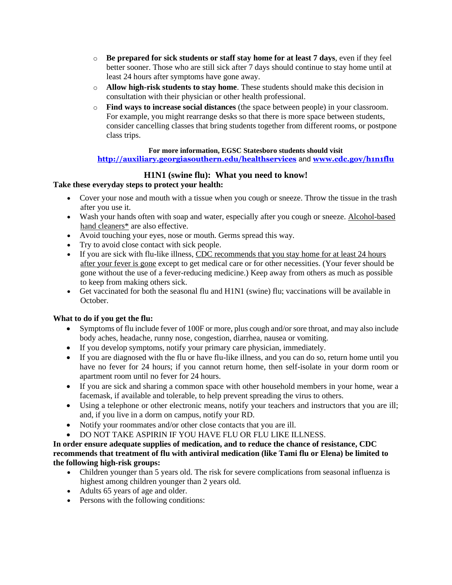- o **Be prepared for sick students or staff stay home for at least 7 days**, even if they feel better sooner. Those who are still sick after 7 days should continue to stay home until at least 24 hours after symptoms have gone away.
- o **Allow high-risk students to stay home**. These students should make this decision in consultation with their physician or other health professional.
- o **Find ways to increase social distances** (the space between people) in your classroom. For example, you might rearrange desks so that there is more space between students, consider cancelling classes that bring students together from different rooms, or postpone class trips.

#### **For more information, EGSC Statesboro students should visit**

## **<http://auxiliary.georgiasouthern.edu/healthservices>** and **[www.cdc.gov/h1n1flu](http://www.cdc.gov/h1n1flu)**

## **H1N1 (swine flu): What you need to know!**

#### **Take these everyday steps to protect your health:**

- Cover your nose and mouth with a tissue when you cough or sneeze. Throw the tissue in the trash after you use it.
- Wash your hands often with soap and water, especially after you cough or sneeze. [Alcohol-based](http://www.cdc.gov/h1n1flu/qa.htm#antibacterial)  [hand cleaners\\*](http://www.cdc.gov/h1n1flu/qa.htm#antibacterial) are also effective.
- Avoid touching your eyes, nose or mouth. Germs spread this way.
- Try to avoid close contact with sick people.
- If you are sick with flu-like illness, CDC recommends that you stay home for at least 24 hours [after your fever is gone](http://www.cdc.gov/h1n1flu/guidance/exclusion.htm) except to get medical care or for other necessities. (Your fever should be gone without the use of a fever-reducing medicine.) Keep away from others as much as possible to keep from making others sick.
- Get vaccinated for both the seasonal flu and H1N1 (swine) flu; vaccinations will be available in October.

#### **What to do if you get the flu:**

- Symptoms of flu include fever of 100F or more, plus cough and/or sore throat, and may also include body aches, headache, runny nose, congestion, diarrhea, nausea or vomiting.
- If you develop symptoms, notify your primary care physician, immediately.
- If you are diagnosed with the flu or have flu-like illness, and you can do so, return home until you have no fever for 24 hours; if you cannot return home, then self-isolate in your dorm room or apartment room until no fever for 24 hours.
- If you are sick and sharing a common space with other household members in your home, wear a facemask, if available and tolerable, to help prevent spreading the virus to others.
- Using a telephone or other electronic means, notify your teachers and instructors that you are ill; and, if you live in a dorm on campus, notify your RD.
- Notify your roommates and/or other close contacts that you are ill.
- DO NOT TAKE ASPIRIN IF YOU HAVE FLU OR FLU LIKE ILLNESS.

## **In order ensure adequate supplies of medication, and to reduce the chance of resistance, CDC recommends that treatment of flu with antiviral medication (like Tami flu or Elena) be limited to the following high-risk groups:**

- Children younger than 5 years old. The risk for severe complications from seasonal influenza is highest among children younger than 2 years old.
- Adults 65 years of age and older.
- Persons with the following conditions: